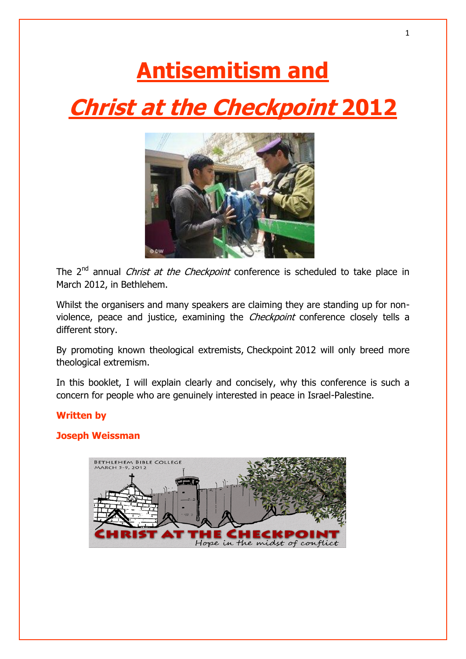# **Antisemitism and Christ at the Checkpoint 2012**



The  $2^{nd}$  annual *Christ at the Checkpoint* conference is scheduled to take place in March 2012, in Bethlehem.

Whilst the organisers and many speakers are claiming they are standing up for nonviolence, peace and justice, examining the *Checkpoint* conference closely tells a different story.

By promoting known theological extremists, Checkpoint 2012 will only breed more theological extremism.

In this booklet, I will explain clearly and concisely, why this conference is such a concern for people who are genuinely interested in peace in Israel-Palestine.

## **Written by**

## **Joseph Weissman**

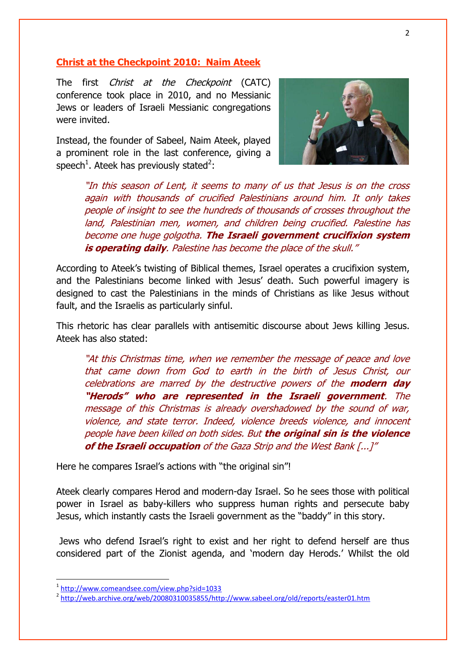#### **Christ at the Checkpoint 2010: Naim Ateek**

The first *Christ at the Checkpoint* (CATC) conference took place in 2010, and no Messianic Jews or leaders of Israeli Messianic congregations were invited.

Instead, the founder of Sabeel, Naim Ateek, played a prominent role in the last conference, giving a speech<sup>1</sup>. Ateek has previously stated<sup>2</sup>:



"In this season of Lent, it seems to many of us that Jesus is on the cross again with thousands of crucified Palestinians around him. It only takes people of insight to see the hundreds of thousands of crosses throughout the land, Palestinian men, women, and children being crucified. Palestine has become one huge golgotha. **The Israeli government crucifixion system is operating daily**. Palestine has become the place of the skull."

According to Ateek"s twisting of Biblical themes, Israel operates a crucifixion system, and the Palestinians become linked with Jesus' death. Such powerful imagery is designed to cast the Palestinians in the minds of Christians as like Jesus without fault, and the Israelis as particularly sinful.

This rhetoric has clear parallels with antisemitic discourse about Jews killing Jesus. Ateek has also stated:

"At this Christmas time, when we remember the message of peace and love that came down from God to earth in the birth of Jesus Christ, our celebrations are marred by the destructive powers of the **modern day "Herods" who are represented in the Israeli government**. The message of this Christmas is already overshadowed by the sound of war, violence, and state terror. Indeed, violence breeds violence, and innocent people have been killed on both sides. But **the original sin is the violence of the Israeli occupation** of the Gaza Strip and the West Bank [...]"

Here he compares Israel's actions with "the original sin"!

Ateek clearly compares Herod and modern-day Israel. So he sees those with political power in Israel as baby-killers who suppress human rights and persecute baby Jesus, which instantly casts the Israeli government as the "baddy" in this story.

Jews who defend Israel"s right to exist and her right to defend herself are thus considered part of the Zionist agenda, and "modern day Herods." Whilst the old

1

<sup>1</sup> <http://www.comeandsee.com/view.php?sid=1033>

<sup>&</sup>lt;sup>2</sup> [http://web.archive.org/web/20080310035855/http://www.sabeel.org/old/reports/easter01.htm](http://web.archive.org/web/20080310035855/http:/www.sabeel.org/old/reports/easter01.htm)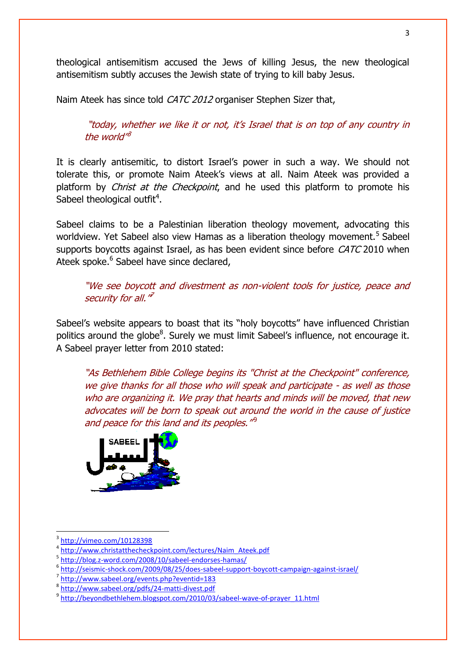theological antisemitism accused the Jews of killing Jesus, the new theological antisemitism subtly accuses the Jewish state of trying to kill baby Jesus.

Naim Ateek has since told CATC 2012 organiser Stephen Sizer that,

"today, whether we like it or not, it's Israel that is on top of any country in the world'<sup>8</sup>

It is clearly antisemitic, to distort Israel's power in such a way. We should not tolerate this, or promote Naim Ateek"s views at all. Naim Ateek was provided a platform by *Christ at the Checkpoint*, and he used this platform to promote his Sabeel theological outfit $4$ .

Sabeel claims to be a Palestinian liberation theology movement, advocating this worldview. Yet Sabeel also view Hamas as a liberation theology movement.<sup>5</sup> Sabeel supports boycotts against Israel, as has been evident since before CATC 2010 when Ateek spoke.<sup>6</sup> Sabeel have since declared,

"We see boycott and divestment as non-violent tools for justice, peace and security for all."<sup>7</sup>

Sabeel"s website appears to boast that its "holy boycotts" have influenced Christian politics around the globe<sup>8</sup>. Surely we must limit Sabeel's influence, not encourage it. A Sabeel prayer letter from 2010 stated:

"As Bethlehem Bible College begins its "Christ at the Checkpoint" conference, we give thanks for all those who will speak and participate - as well as those who are organizing it. We pray that hearts and minds will be moved, that new advocates will be born to speak out around the world in the cause of justice and peace for this land and its peoples."<sup>9</sup>



 $\overline{\phantom{a}}$ 

<sup>3</sup> <http://vimeo.com/10128398>

<sup>4</sup> [http://www.christatthecheckpoint.com/lectures/Naim\\_Ateek.pdf](http://www.christatthecheckpoint.com/lectures/Naim_Ateek.pdf)

<sup>5</sup> <http://blog.z-word.com/2008/10/sabeel-endorses-hamas/>

<sup>6</sup> <http://seismic-shock.com/2009/08/25/does-sabeel-support-boycott-campaign-against-israel/>

<sup>7</sup> <http://www.sabeel.org/events.php?eventid=183>

<sup>8</sup> <http://www.sabeel.org/pdfs/24-matti-divest.pdf>

<sup>&</sup>lt;sup>9</sup> [http://beyondbethlehem.blogspot.com/2010/03/sabeel-wave-of-prayer\\_11.html](http://beyondbethlehem.blogspot.com/2010/03/sabeel-wave-of-prayer_11.html)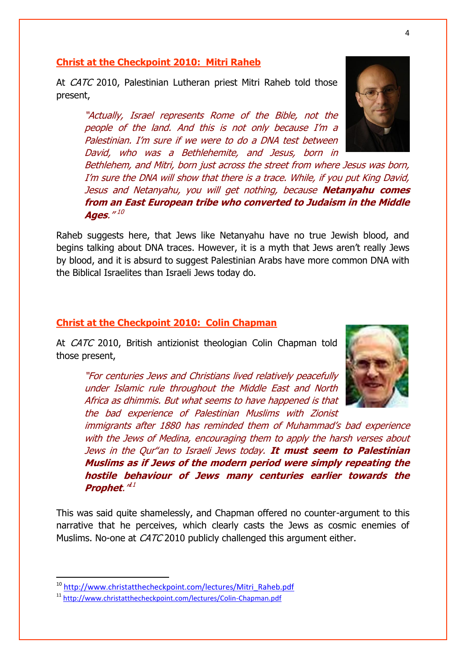#### **Christ at the Checkpoint 2010: Mitri Raheb**

At CATC 2010, Palestinian Lutheran priest Mitri Raheb told those present,

"Actually, Israel represents Rome of the Bible, not the people of the land. And this is not only because I"m a Palestinian. I"m sure if we were to do a DNA test between David, who was a Bethlehemite, and Jesus, born in

Bethlehem, and Mitri, born just across the street from where Jesus was born, I'm sure the DNA will show that there is a trace. While, if you put King David, Jesus and Netanyahu, you will get nothing, because **Netanyahu comes from an East European tribe who converted to Judaism in the Middle Ages**." 10

Raheb suggests here, that Jews like Netanyahu have no true Jewish blood, and begins talking about DNA traces. However, it is a myth that Jews aren"t really Jews by blood, and it is absurd to suggest Palestinian Arabs have more common DNA with the Biblical Israelites than Israeli Jews today do.

#### **Christ at the Checkpoint 2010: Colin Chapman**

At *CATC* 2010, British antizionist theologian Colin Chapman told those present,

"For centuries Jews and Christians lived relatively peacefully under Islamic rule throughout the Middle East and North Africa as dhimmis. But what seems to have happened is that the bad experience of Palestinian Muslims with Zionist

immigrants after 1880 has reminded them of Muhammad"s bad experience with the Jews of Medina, encouraging them to apply the harsh verses about Jews in the Qur"an to Israeli Jews today. **It must seem to Palestinian Muslims as if Jews of the modern period were simply repeating the hostile behaviour of Jews many centuries earlier towards the Prophet**." 11

This was said quite shamelessly, and Chapman offered no counter-argument to this narrative that he perceives, which clearly casts the Jews as cosmic enemies of Muslims. No-one at *CATC* 2010 publicly challenged this argument either.

1





<sup>10</sup> [http://www.christatthecheckpoint.com/lectures/Mitri\\_Raheb.pdf](http://www.christatthecheckpoint.com/lectures/Mitri_Raheb.pdf)

<sup>11</sup> <http://www.christatthecheckpoint.com/lectures/Colin-Chapman.pdf>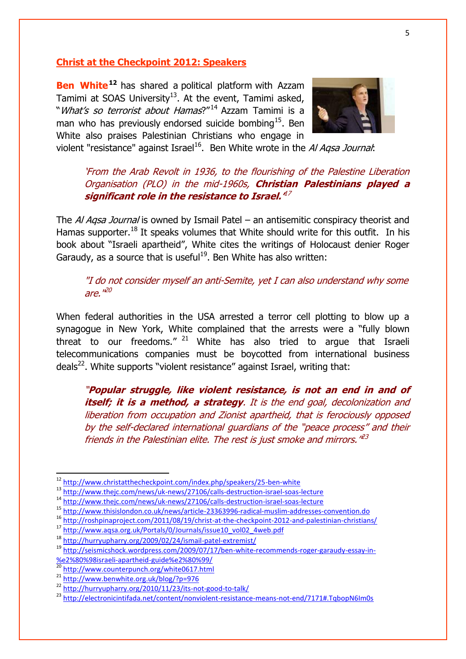### **Christ at the Checkpoint 2012: Speakers**

**Ben White<sup>12</sup>** has shared a political platform with Azzam Tamimi at SOAS University<sup>13</sup>. At the event, Tamimi asked, "What's so terrorist about Hamas?"<sup>14</sup> Azzam Tamimi is a man who has previously endorsed suicide bombing<sup>15</sup>. Ben White also praises Palestinian Christians who engage in



violent "resistance" against Israel<sup>16</sup>. Ben White wrote in the *Al Aqsa Journal*:

## "From the Arab Revolt in 1936, to the flourishing of the Palestine Liberation Organisation (PLO) in the mid-1960s, **Christian Palestinians played a significant role in the resistance to Israel.'** 17

The AI Agsa Journal is owned by Ismail Patel – an antisemitic conspiracy theorist and Hamas supporter.<sup>18</sup> It speaks volumes that White should write for this outfit. In his book about "Israeli apartheid", White cites the writings of Holocaust denier Roger Garaudy, as a source that is useful<sup>19</sup>. Ben White has also written:

"I do not consider myself an anti-Semite, yet I can also understand why some are." <sup>20</sup>

When federal authorities in the USA arrested a terror cell plotting to blow up a synagogue in New York, White complained that the arrests were a "fully blown threat to our freedoms."  $21$  White has also tried to argue that Israeli telecommunications companies must be boycotted from international business deals<sup>22</sup>. White supports "violent resistance" against Israel, writing that:

"**Popular struggle, like violent resistance, is not an end in and of itself; it is a method, a strategy**. It is the end goal, decolonization and liberation from occupation and Zionist apartheid, that is ferociously opposed by the self-declared international guardians of the "peace process" and their friends in the Palestinian elite. The rest is just smoke and mirrors."<sup>23</sup>

<sup>12</sup> <http://www.christatthecheckpoint.com/index.php/speakers/25-ben-white>

<sup>&</sup>lt;sup>13</sup> <http://www.thejc.com/news/uk-news/27106/calls-destruction-israel-soas-lecture>

<sup>14</sup> <http://www.thejc.com/news/uk-news/27106/calls-destruction-israel-soas-lecture>

<sup>15</sup> <http://www.thisislondon.co.uk/news/article-23363996-radical-muslim-addresses-convention.do>

<sup>16</sup> <http://roshpinaproject.com/2011/08/19/christ-at-the-checkpoint-2012-and-palestinian-christians/>

<sup>17</sup> [http://www.aqsa.org.uk/Portals/0/Journals/issue10\\_vol02\\_4web.pdf](http://www.aqsa.org.uk/Portals/0/Journals/issue10_vol02_4web.pdf)

<sup>18</sup> <http://hurryupharry.org/2009/02/24/ismail-patel-extremist/>

<sup>19</sup> [http://seismicshock.wordpress.com/2009/07/17/ben-white-recommends-roger-garaudy-essay-in-](http://seismicshock.wordpress.com/2009/07/17/ben-white-recommends-roger-garaudy-essay-in-%e2%80%98israeli-apartheid-guide%e2%80%99/) [%e2%80%98israeli-apartheid-guide%e2%80%99/](http://seismicshock.wordpress.com/2009/07/17/ben-white-recommends-roger-garaudy-essay-in-%e2%80%98israeli-apartheid-guide%e2%80%99/)

<sup>20</sup> <http://www.counterpunch.org/white0617.html>

<sup>21</sup> <http://www.benwhite.org.uk/blog/?p=976>

<sup>22</sup> <http://hurryupharry.org/2010/11/23/its-not-good-to-talk/>

<sup>23</sup> <http://electronicintifada.net/content/nonviolent-resistance-means-not-end/7171#.TqbopN6Im0s>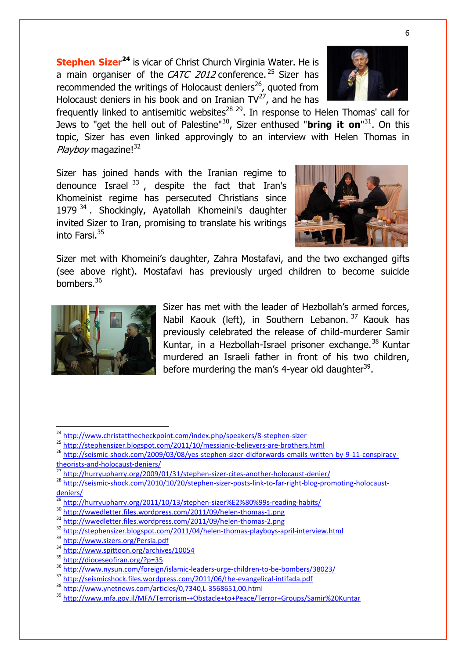**Stephen Sizer<sup>24</sup>** is vicar of Christ Church Virginia Water. He is a main organiser of the CATC 2012 conference. <sup>25</sup> Sizer has recommended the writings of Holocaust deniers<sup>26</sup>, quoted from Holocaust deniers in his book and on Iranian  $TV^{27}$ , and he has



frequently linked to antisemitic websites<sup>28 29</sup>. In response to Helen Thomas' call for Jews to "get the hell out of Palestine"<sup>30</sup>, Sizer enthused "**bring it on**"<sup>31</sup>. On this topic, Sizer has even linked approvingly to an interview with Helen Thomas in Playboy magazine!<sup>32</sup>

Sizer has joined hands with the Iranian regime to denounce Israel  $^{33}$ , despite the fact that Iran's Khomeinist regime has persecuted Christians since 1979<sup>34</sup>. Shockingly, Ayatollah Khomeini's daughter invited Sizer to Iran, promising to translate his writings into Farsi.<sup>35</sup>



Sizer met with Khomeini's daughter, Zahra Mostafavi, and the two exchanged gifts (see above right). Mostafavi has previously urged children to become suicide bombers.<sup>36</sup>



1

Sizer has met with the leader of Hezbollah's armed forces. Nabil Kaouk (left), in Southern Lebanon. <sup>37</sup> Kaouk has previously celebrated the release of child-murderer Samir Kuntar, in a Hezbollah-Israel prisoner exchange.<sup>38</sup> Kuntar murdered an Israeli father in front of his two children, before murdering the man's 4-year old daughter<sup>39</sup>.

<sup>&</sup>lt;sup>24</sup> <http://www.christatthecheckpoint.com/index.php/speakers/8-stephen-sizer>

<sup>&</sup>lt;sup>25</sup> <http://stephensizer.blogspot.com/2011/10/messianic-believers-are-brothers.html>

<sup>26</sup> [http://seismic-shock.com/2009/03/08/yes-stephen-sizer-didforwards-emails-written-by-9-11-conspiracy](http://seismic-shock.com/2009/03/08/yes-stephen-sizer-didforwards-emails-written-by-9-11-conspiracy-theorists-and-holocaust-deniers/)[theorists-and-holocaust-deniers/](http://seismic-shock.com/2009/03/08/yes-stephen-sizer-didforwards-emails-written-by-9-11-conspiracy-theorists-and-holocaust-deniers/)

<sup>&</sup>lt;sup>27</sup> <http://hurryupharry.org/2009/01/31/stephen-sizer-cites-another-holocaust-denier/>

<sup>28</sup> [http://seismic-shock.com/2010/10/20/stephen-sizer-posts-link-to-far-right-blog-promoting-holocaust](http://seismic-shock.com/2010/10/20/stephen-sizer-posts-link-to-far-right-blog-promoting-holocaust-deniers/)[deniers/](http://seismic-shock.com/2010/10/20/stephen-sizer-posts-link-to-far-right-blog-promoting-holocaust-deniers/)

<sup>29</sup> <http://hurryupharry.org/2011/10/13/stephen-sizer%E2%80%99s-reading-habits/>

<sup>30</sup> <http://wwedletter.files.wordpress.com/2011/09/helen-thomas-1.png>

<sup>31</sup> <http://wwedletter.files.wordpress.com/2011/09/helen-thomas-2.png>

<sup>32</sup> <http://stephensizer.blogspot.com/2011/04/helen-thomas-playboys-april-interview.html>

<sup>33</sup> <http://www.sizers.org/Persia.pdf>

<sup>34</sup> <http://www.spittoon.org/archives/10054>

<sup>35</sup> <http://dioceseofiran.org/?p=35>

<sup>&</sup>lt;sup>36</sup> <http://www.nysun.com/foreign/islamic-leaders-urge-children-to-be-bombers/38023/>

<sup>37</sup> <http://seismicshock.files.wordpress.com/2011/06/the-evangelical-intifada.pdf>

<sup>38</sup> <http://www.ynetnews.com/articles/0,7340,L-3568651,00.html>

<sup>39</sup> <http://www.mfa.gov.il/MFA/Terrorism-+Obstacle+to+Peace/Terror+Groups/Samir%20Kuntar>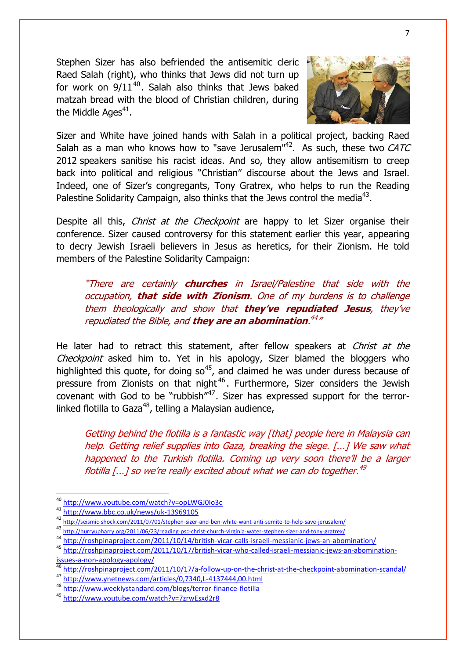Stephen Sizer has also befriended the antisemitic cleric Raed Salah (right), who thinks that Jews did not turn up for work on  $9/11^{40}$ . Salah also thinks that Jews baked matzah bread with the blood of Christian children, during the Middle Ages $^{41}$ .



Sizer and White have joined hands with Salah in a political project, backing Raed Salah as a man who knows how to ["save Jerusalem"](http://seismic-shock.com/2011/07/01/stephen-sizer-and-ben-white-want-anti-semite-to-help-save-jerusalem/)<sup>42</sup>. As such, these two CATC 2012 speakers sanitise his racist ideas. And so, they allow antisemitism to creep back into political and religious "Christian" discourse about the Jews and Israel. Indeed, one of Sizer"s congregants, Tony Gratrex, who helps to run the Reading Palestine Solidarity Campaign, also thinks that the Jews control the media<sup>43</sup>.

Despite all this, *Christ at the Checkpoint* are happy to let Sizer organise their conference. Sizer caused controversy for this statement earlier this year, appearing to decry Jewish Israeli believers in Jesus as heretics, for their Zionism. He told members of the Palestine Solidarity Campaign:

"There are certainly **churches** in Israel/Palestine that side with the occupation, **that side with Zionism**. One of my burdens is to challenge them theologically and show that **they've repudiated Jesus**, they"ve repudiated the Bible, and **they are an abomination**. 44 "

He later had to retract this statement, after fellow speakers at Christ at the Checkpoint asked him to. Yet in his apology, Sizer blamed the bloggers who highlighted this quote, for doing  $\text{so}^{45}$ , and claimed he was under duress because of pressure from Zionists on that night<sup>46</sup>. Furthermore, Sizer considers the Jewish covenant with God to be "rubbish"<sup>47</sup>. Sizer has expressed support for the terrorlinked flotilla to Gaza<sup>48</sup>, telling a Malaysian audience,

Getting behind the flotilla is a fantastic way [that] people here in Malaysia can help. Getting relief supplies into Gaza, breaking the siege. [...] We saw what happened to the Turkish flotilla. Coming up very soon there'll be a larger flotilla [...] so we're really excited about what we can do together.<sup>49</sup>

1

<sup>40</sup> <http://www.youtube.com/watch?v=opLWGJ0Io3c>

<sup>41</sup> <http://www.bbc.co.uk/news/uk-13969105>

<sup>42</sup> <http://seismic-shock.com/2011/07/01/stephen-sizer-and-ben-white-want-anti-semite-to-help-save-jerusalem/>

<sup>43</sup> <http://hurryupharry.org/2011/06/23/reading-psc-christ-church-virginia-water-stephen-sizer-and-tony-gratrex/>

<sup>44</sup> <http://roshpinaproject.com/2011/10/14/british-vicar-calls-israeli-messianic-jews-an-abomination/>

<sup>45</sup> [http://roshpinaproject.com/2011/10/17/british-vicar-who-called-israeli-messianic-jews-an-abomination](http://roshpinaproject.com/2011/10/17/british-vicar-who-called-israeli-messianic-jews-an-abomination-issues-a-non-apology-apology/)[issues-a-non-apology-apology/](http://roshpinaproject.com/2011/10/17/british-vicar-who-called-israeli-messianic-jews-an-abomination-issues-a-non-apology-apology/)

<http://roshpinaproject.com/2011/10/17/a-follow-up-on-the-christ-at-the-checkpoint-abomination-scandal/>

<sup>47</sup> <http://www.ynetnews.com/articles/0,7340,L-4137444,00.html>

<sup>48</sup> <http://www.weeklystandard.com/blogs/terror-finance-flotilla>

<sup>49</sup> <http://www.youtube.com/watch?v=7zrwEsxd2r8>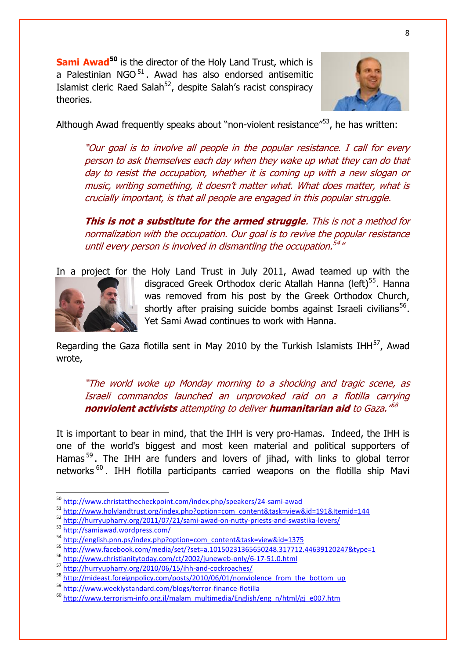**Sami Awad<sup>50</sup>** is the director of the Holy Land Trust, which is a Palestinian NGO $<sup>51</sup>$ . Awad has also endorsed antisemitic</sup> Islamist cleric Raed Salah<sup>52</sup>, despite Salah's racist conspiracy theories.



Although Awad frequently speaks about "non-violent resistance"<sup>53</sup>, he has written:

"Our goal is to involve all people in the popular resistance. I call for every person to ask themselves each day when they wake up what they can do that day to resist the occupation, whether it is coming up with a new slogan or music, writing something, it doesn"t matter what. What does matter, what is crucially important, is that all people are engaged in this popular struggle.

**This is not a substitute for the armed struggle**. This is not a method for normalization with the occupation. Our goal is to revive the popular resistance until every person is involved in dismantling the occupation.<sup>54</sup>"

In a project for the Holy Land Trust in July 2011, Awad teamed up with the



disgraced Greek Orthodox cleric Atallah Hanna (left)<sup>55</sup>. Hanna was removed from his post by the Greek Orthodox Church, shortly after praising suicide bombs against Israeli civilians<sup>56</sup>. Yet Sami Awad continues to work with Hanna.

Regarding the Gaza flotilla sent in May 2010 by the Turkish Islamists IHH $^{57}$ , Awad wrote,

"The world woke up Monday morning to a shocking and tragic scene, as Israeli commandos launched an unprovoked raid on a flotilla carrying **nonviolent activists** attempting to deliver **humanitarian aid** to Gaza." 58

It is important to bear in mind, that the IHH is very pro-Hamas. Indeed, the IHH is one of the world's biggest and most keen material and political supporters of Hamas<sup>59</sup>. The IHH are funders and lovers of jihad, with links to global terror networks<sup>60</sup>. IHH flotilla participants carried weapons on the flotilla ship Mavi

<sup>51</sup> [http://www.holylandtrust.org/index.php?option=com\\_content&task=view&id=191&Itemid=144](http://www.holylandtrust.org/index.php?option=com_content&task=view&id=191&Itemid=144)

<sup>&</sup>lt;sup>50</sup> <http://www.christatthecheckpoint.com/index.php/speakers/24-sami-awad>

<sup>52</sup> <http://hurryupharry.org/2011/07/21/sami-awad-on-nutty-priests-and-swastika-lovers/>

<sup>53</sup> <http://samiawad.wordpress.com/>

<sup>54</sup> [http://english.pnn.ps/index.php?option=com\\_content&task=view&id=1375](http://english.pnn.ps/index.php?option=com_content&task=view&id=1375)

<sup>55</sup> <http://www.facebook.com/media/set/?set=a.10150231365650248.317712.44639120247&type=1>

<sup>56</sup> <http://www.christianitytoday.com/ct/2002/juneweb-only/6-17-51.0.html>

<sup>57</sup> <http://hurryupharry.org/2010/06/15/ihh-and-cockroaches/>

<sup>&</sup>lt;sup>58</sup> [http://mideast.foreignpolicy.com/posts/2010/06/01/nonviolence\\_from\\_the\\_bottom\\_up](http://mideast.foreignpolicy.com/posts/2010/06/01/nonviolence_from_the_bottom_up)

<sup>59</sup> <http://www.weeklystandard.com/blogs/terror-finance-flotilla>

<sup>60</sup> [http://www.terrorism-info.org.il/malam\\_multimedia/English/eng\\_n/html/gj\\_e007.htm](http://www.terrorism-info.org.il/malam_multimedia/English/eng_n/html/gj_e007.htm)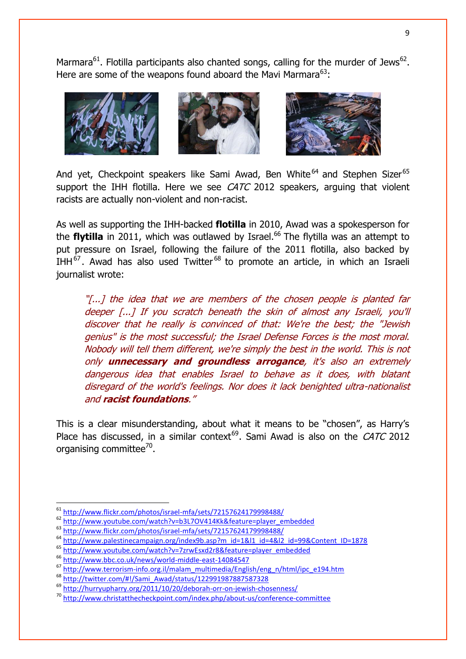Marmara $^{61}$ . Flotilla participants also chanted songs, calling for the murder of Jews $^{62}$ . Here are some of the weapons found aboard the Mavi Marmara $^{63}$ :



And yet, Checkpoint speakers like Sami Awad, Ben White<sup>64</sup> and Stephen Sizer<sup>65</sup> support the IHH flotilla. Here we see  $CATC$  2012 speakers, arguing that violent racists are actually non-violent and non-racist.

As well as supporting the IHH-backed **flotilla** in 2010, Awad was a spokesperson for the **flytilla** in 2011, which was outlawed by Israel.<sup>66</sup> The flytilla was an attempt to put pressure on Israel, following the failure of the 2011 flotilla, also backed by IHH<sup>67</sup>. Awad has also used Twitter<sup>68</sup> to promote an article, in which an Israeli journalist wrote:

"[...] the idea that we are members of the chosen people is planted far deeper [...] If you scratch beneath the skin of almost any Israeli, you'll discover that he really is convinced of that: We're the best; the "Jewish genius" is the most successful; the Israel Defense Forces is the most moral. Nobody will tell them different, we're simply the best in the world. This is not only **unnecessary and groundless arrogance**, it's also an extremely dangerous idea that enables Israel to behave as it does, with blatant disregard of the world's feelings. Nor does it lack benighted ultra-nationalist and **racist foundations**."

This is a clear misunderstanding, about what it means to be "chosen", as Harry"s Place has discussed, in a similar context<sup>69</sup>. Sami Awad is also on the CATC 2012 organising committee<sup>70</sup>.

<sup>63</sup> <http://www.flickr.com/photos/israel-mfa/sets/72157624179998488/>

<sup>&</sup>lt;sup>61</sup> <http://www.flickr.com/photos/israel-mfa/sets/72157624179998488/>

<sup>62</sup> [http://www.youtube.com/watch?v=b3L7OV414Kk&feature=player\\_embedded](http://www.youtube.com/watch?v=b3L7OV414Kk&feature=player_embedded)

<sup>64</sup> [http://www.palestinecampaign.org/index9b.asp?m\\_id=1&l1\\_id=4&l2\\_id=99&Content\\_ID=1878](http://www.palestinecampaign.org/index9b.asp?m_id=1&l1_id=4&l2_id=99&Content_ID=1878)

<sup>65</sup> [http://www.youtube.com/watch?v=7zrwEsxd2r8&feature=player\\_embedded](http://www.youtube.com/watch?v=7zrwEsxd2r8&feature=player_embedded)

<sup>66</sup> <http://www.bbc.co.uk/news/world-middle-east-14084547>

<sup>67</sup> [http://www.terrorism-info.org.il/malam\\_multimedia/English/eng\\_n/html/ipc\\_e194.htm](http://www.terrorism-info.org.il/malam_multimedia/English/eng_n/html/ipc_e194.htm)

<sup>68</sup> [http://twitter.com/#!/Sami\\_Awad/status/122991987887587328](http://twitter.com/#!/Sami_Awad/status/122991987887587328)

<sup>69</sup> <http://hurryupharry.org/2011/10/20/deborah-orr-on-jewish-chosenness/>

<sup>70</sup> <http://www.christatthecheckpoint.com/index.php/about-us/conference-committee>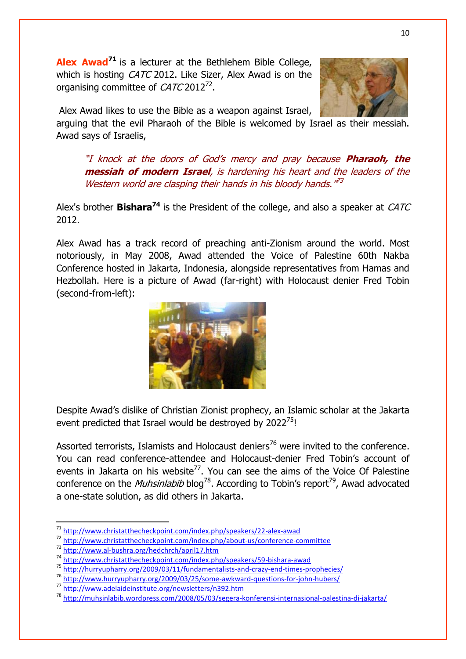**Alex Awad<sup>71</sup>** is a lecturer at the Bethlehem Bible College, which is hosting *CATC* 2012. Like Sizer, Alex Awad is on the organising committee of  $CATC 2012^{72}$ .

Alex Awad likes to use the Bible as a weapon against Israel,

arguing that the evil Pharaoh of the Bible is welcomed by Israel as their messiah. Awad says of Israelis,

"I knock at the doors of God"s mercy and pray because **Pharaoh, the messiah of modern Israel**, is hardening his heart and the leaders of the Western world are clasping their hands in his bloody hands."<sup>73</sup>

Alex's brother **Bishara<sup>74</sup>** is the President of the college, and also a speaker at CATC 2012.

Alex Awad has a track record of preaching anti-Zionism around the world. Most notoriously, in May 2008, Awad attended the Voice of Palestine 60th Nakba Conference hosted in Jakarta, Indonesia, alongside representatives from Hamas and Hezbollah. Here is a picture of Awad (far-right) with Holocaust denier Fred Tobin (second-from-left):



Despite Awad"s dislike of Christian Zionist prophecy, an Islamic scholar at the Jakarta event predicted that Israel would be destroyed by 2022<sup>75</sup>!

Assorted terrorists, Islamists and Holocaust deniers<sup>76</sup> were invited to the conference. You can read conference-attendee and Holocaust-denier Fred Tobin"s account of events in Jakarta on his website<sup>77</sup>. You can see the aims of the Voice Of Palestine conference on the *Muhsinlabib* blog<sup>78</sup>. According to Tobin's report<sup>79</sup>, Awad advocated a one-state solution, as did others in Jakarta.

<sup>72</sup> <http://www.christatthecheckpoint.com/index.php/about-us/conference-committee>



**<sup>.</sup>** <sup>71</sup> <http://www.christatthecheckpoint.com/index.php/speakers/22-alex-awad>

<sup>73</sup> <http://www.al-bushra.org/hedchrch/april17.htm>

<sup>74</sup> <http://www.christatthecheckpoint.com/index.php/speakers/59-bishara-awad>

<sup>75</sup> <http://hurryupharry.org/2009/03/11/fundamentalists-and-crazy-end-times-prophecies/>

<sup>76</sup> <http://www.hurryupharry.org/2009/03/25/some-awkward-questions-for-john-hubers/>

<sup>77</sup> <http://www.adelaideinstitute.org/newsletters/n392.htm>

<sup>78</sup> <http://muhsinlabib.wordpress.com/2008/05/03/segera-konferensi-internasional-palestina-di-jakarta/>